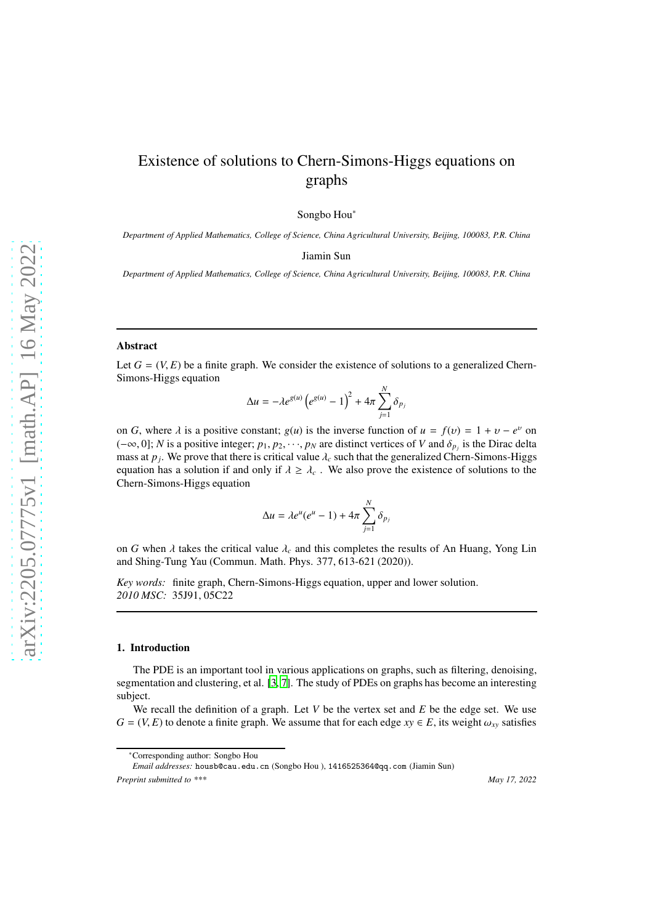# Existence of solutions to Chern-Simons-Higgs equations on graphs

Songbo Hou<sup>∗</sup>

*Department of Applied Mathematics, College of Science, China Agricultural University, Beijing, 100083, P.R. China*

Jiamin Sun

*Department of Applied Mathematics, College of Science, China Agricultural University, Beijing, 100083, P.R. China*

#### Abstract

Let  $G = (V, E)$  be a finite graph. We consider the existence of solutions to a generalized Chern-Simons-Higgs equation

$$
\Delta u = -\lambda e^{g(u)} \left( e^{g(u)} - 1 \right)^2 + 4\pi \sum_{j=1}^N \delta_{p_j}
$$

on *G*, where  $\lambda$  is a positive constant;  $g(u)$  is the inverse function of  $u = f(v) = 1 + v - e^v$  on  $(-\infty, 0]$ ; *N* is a positive integer;  $p_1, p_2, \dots, p_N$  are distinct vertices of *V* and  $\delta_{p_j}$  is the Dirac delta mass at  $p_j$ . We prove that there is critical value  $\lambda_c$  such that the generalized Chern-Simons-Higgs equation has a solution if and only if  $\lambda \geq \lambda_c$ . We also prove the existence of solutions to the Chern-Simons-Higgs equation

$$
\Delta u = \lambda e^u (e^u - 1) + 4\pi \sum_{j=1}^N \delta_{p_j}
$$

on *G* when  $\lambda$  takes the critical value  $\lambda_c$  and this completes the results of An Huang, Yong Lin and Shing-Tung Yau (Commun. Math. Phys. 377, 613-621 (2020)).

*Key words:* finite graph, Chern-Simons-Higgs equation, upper and lower solution. *2010 MSC:* 35J91, 05C22

#### 1. Introduction

The PDE is an important tool in various applications on graphs, such as filtering, denoising, segmentation and clustering, et al. [\[3,](#page-12-0) [7](#page-12-1)]. The study of PDEs on graphs has become an interesting subject.

We recall the definition of a graph. Let  $V$  be the vertex set and  $E$  be the edge set. We use  $G = (V, E)$  to denote a finite graph. We assume that for each edge  $xy \in E$ , its weight  $\omega_{xy}$  satisfies

*Email addresses:* housb@cau.edu.cn (Songbo Hou ), 1416525364@qq.com (Jiamin Sun)

*Preprint submitted to \*\*\* May 17, 2022*

<sup>∗</sup>Corresponding author: Songbo Hou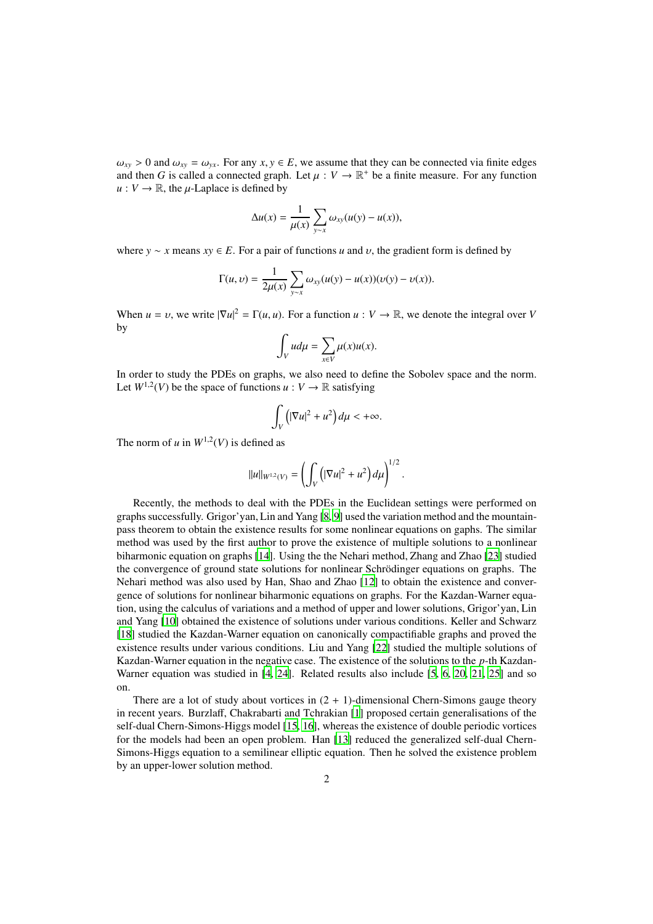$\omega_{xy} > 0$  and  $\omega_{xy} = \omega_{yx}$ . For any  $x, y \in E$ , we assume that they can be connected via finite edges and then *G* is called a connected graph. Let  $\mu : V \to \mathbb{R}^+$  be a finite measure. For any function  $u: V \to \mathbb{R}$ , the *u*-Laplace is defined by

$$
\Delta u(x) = \frac{1}{\mu(x)} \sum_{y \sim x} \omega_{xy}(u(y) - u(x)),
$$

where  $y \sim x$  means  $xy \in E$ . For a pair of functions *u* and *v*, the gradient form is defined by

$$
\Gamma(u, v) = \frac{1}{2\mu(x)} \sum_{y \sim x} \omega_{xy}(u(y) - u(x))(v(y) - v(x)).
$$

When  $u = v$ , we write  $|\nabla u|^2 = \Gamma(u, u)$ . For a function  $u : V \to \mathbb{R}$ , we denote the integral over *V* by

$$
\int_V u d\mu = \sum_{x \in V} \mu(x) u(x).
$$

In order to study the PDEs on graphs, we also need to define the Sobolev space and the norm. Let  $W^{1,2}(V)$  be the space of functions  $u: V \to \mathbb{R}$  satisfying

$$
\int_V \left( |\nabla u|^2 + u^2 \right) d\mu < +\infty.
$$

The norm of  $u$  in  $W^{1,2}(V)$  is defined as

$$
||u||_{W^{1,2}(V)} = \left(\int_V \left(|\nabla u|^2 + u^2\right) d\mu\right)^{1/2}
$$

.

Recently, the methods to deal with the PDEs in the Euclidean settings were performed on graphs successfully. Grigor'yan, Lin and Yang [\[8,](#page-12-2) [9](#page-12-3)] used the variation method and the mountainpass theorem to obtain the existence results for some nonlinear equations on gaphs. The similar method was used by the first author to prove the existence of multiple solutions to a nonlinear biharmonic equation on graphs [\[14\]](#page-12-4). Using the the Nehari method, Zhang and Zhao [\[23\]](#page-12-5) studied the convergence of ground state solutions for nonlinear Schrödinger equations on graphs. The Nehari method was also used by Han, Shao and Zhao [\[12](#page-12-6)] to obtain the existence and convergence of solutions for nonlinear biharmonic equations on graphs. For the Kazdan-Warner equation, using the calculus of variations and a method of upper and lower solutions, Grigor'yan, Lin and Yang [\[10\]](#page-12-7) obtained the existence of solutions under various conditions. Keller and Schwarz [\[18\]](#page-12-8) studied the Kazdan-Warner equation on canonically compactifiable graphs and proved the existence results under various conditions. Liu and Yang [\[22\]](#page-12-9) studied the multiple solutions of Kazdan-Warner equation in the negative case. The existence of the solutions to the *p*-th Kazdan-Warner equation was studied in [\[4,](#page-12-10) [24\]](#page-12-11). Related results also include [\[5,](#page-12-12) [6](#page-12-13), [20](#page-12-14), [21,](#page-12-15) [25\]](#page-12-16) and so on.

There are a lot of study about vortices in  $(2 + 1)$ -dimensional Chern-Simons gauge theory in recent years. Burzlaff, Chakrabarti and Tchrakian [\[1\]](#page-12-17) proposed certain generalisations of the self-dual Chern-Simons-Higgs model [\[15,](#page-12-18) [16\]](#page-12-19), whereas the existence of double periodic vortices for the models had been an open problem. Han [\[13\]](#page-12-20) reduced the generalized self-dual Chern-Simons-Higgs equation to a semilinear elliptic equation. Then he solved the existence problem by an upper-lower solution method.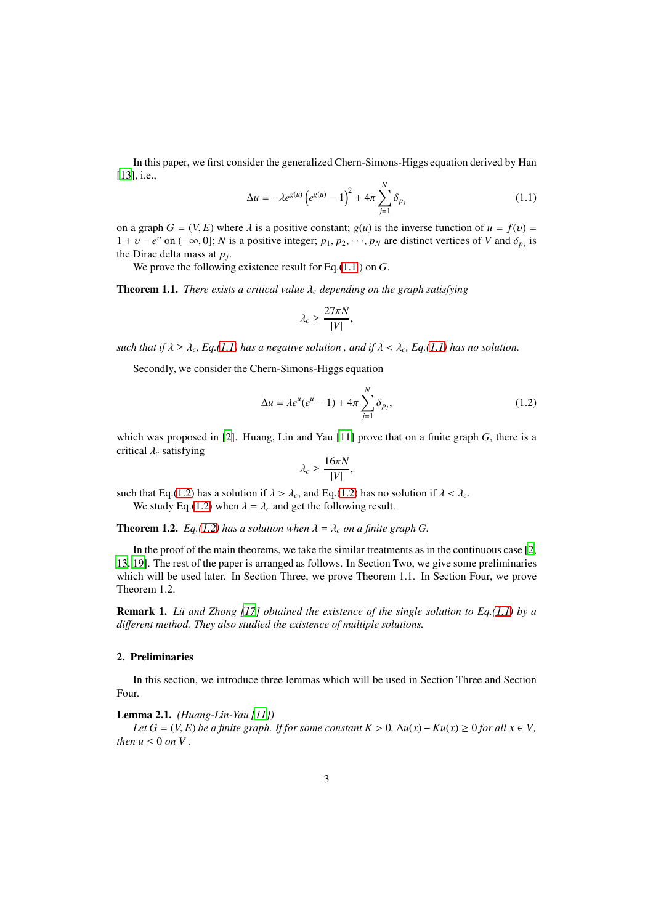In this paper, we first consider the generalized Chern-Simons-Higgs equation derived by Han [\[13\]](#page-12-20), *i.e.*,

<span id="page-2-0"></span>
$$
\Delta u = -\lambda e^{g(u)} \left( e^{g(u)} - 1 \right)^2 + 4\pi \sum_{j=1}^{N} \delta_{p_j}
$$
 (1.1)

on a graph  $G = (V, E)$  where  $\lambda$  is a positive constant;  $g(u)$  is the inverse function of  $u = f(v)$  $1 + v - e^v$  on  $(-\infty, 0]$ ; *N* is a positive integer;  $p_1, p_2, \dots, p_N$  are distinct vertices of *V* and  $\delta_{p_j}$  is the Dirac delta mass at *p<sup>j</sup>* .

We prove the following existence result for Eq.[\(1.1](#page-2-0) ) on *G*.

Theorem 1.1. *There exists a critical value* λ*<sup>c</sup> depending on the graph satisfying*

$$
\lambda_c \geq \frac{27\pi N}{|V|},
$$

*such that if*  $\lambda \geq \lambda_c$ , Eq.[\(1.1\)](#page-2-0) has a negative solution, and if  $\lambda < \lambda_c$ , Eq.(1.1) has no solution.

Secondly, we consider the Chern-Simons-Higgs equation

<span id="page-2-1"></span>
$$
\Delta u = \lambda e^u (e^u - 1) + 4\pi \sum_{j=1}^N \delta_{p_j},
$$
\n(1.2)

which was proposed in [\[2\]](#page-12-21). Huang, Lin and Yau [\[11\]](#page-12-22) prove that on a finite graph *G*, there is a critical λ*<sup>c</sup>* satisfying

$$
\lambda_c \ge \frac{16\pi N}{|V|},
$$

such that Eq.[\(1.2\)](#page-2-1) has a solution if  $\lambda > \lambda_c$ , and Eq.(1.2) has no solution if  $\lambda < \lambda_c$ . We study Eq.[\(1.2\)](#page-2-1) when  $\lambda = \lambda_c$  and get the following result.

**Theorem 1.2.** *Eq.*[\(1.2\)](#page-2-1) *has a solution when*  $\lambda = \lambda_c$  *on a finite graph G.* 

In the proof of the main theorems, we take the similar treatments as in the continuous case [\[2](#page-12-21), [13](#page-12-20), [19](#page-12-23)]. The rest of the paper is arranged as follows. In Section Two, we give some preliminaries which will be used later. In Section Three, we prove Theorem 1.1. In Section Four, we prove Theorem 1.2.

Remark 1. *L¨u and Zhong [\[17\]](#page-12-24) obtained the existence of the single solution to Eq.[\(1.1\)](#page-2-0) by a di*ff*erent method. They also studied the existence of multiple solutions.*

#### 2. Preliminaries

In this section, we introduce three lemmas which will be used in Section Three and Section Four.

Lemma 2.1. *(Huang-Lin-Yau [\[11\]](#page-12-22))*

*Let*  $G = (V, E)$  *be a finite graph. If for some constant*  $K > 0$ ,  $\Delta u(x) - K u(x) \ge 0$  *for all*  $x \in V$ , *then*  $u \leq 0$  *on*  $V$ .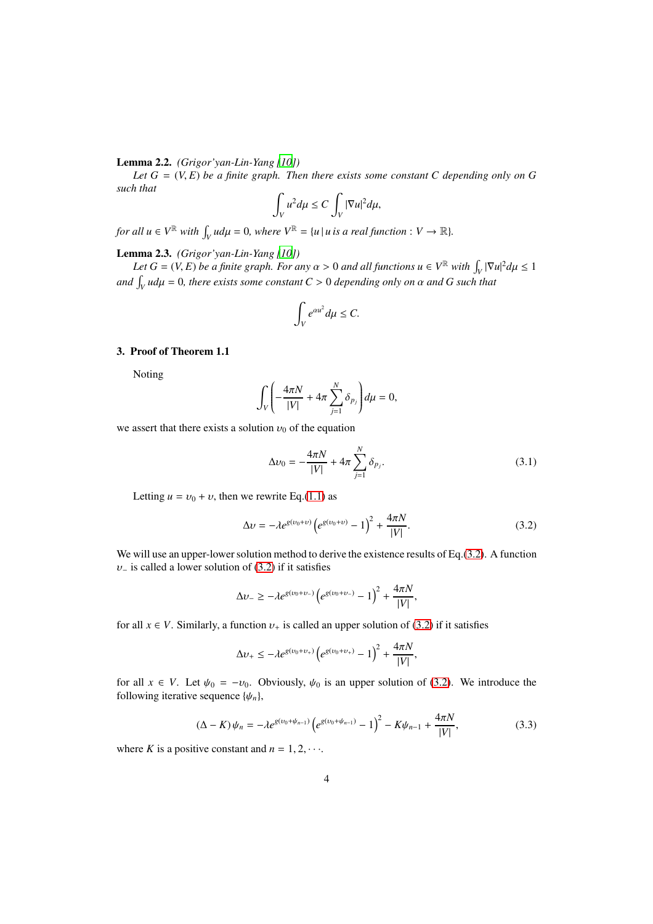# Lemma 2.2. *(Grigor'yan-Lin-Yang [\[10\]](#page-12-7))*

*Let*  $G = (V, E)$  *be a finite graph. Then there exists some constant C depending only on G such that*

$$
\int_V u^2 d\mu \leq C \int_V |\nabla u|^2 d\mu,
$$

*for all*  $u \in V^{\mathbb{R}}$  *with*  $\int_{V} u d\mu = 0$ *, where*  $V^{\mathbb{R}} = \{u \mid u \text{ is a real function} : V \to \mathbb{R} \}.$ 

# <span id="page-3-3"></span>Lemma 2.3. *(Grigor'yan-Lin-Yang [\[10\]](#page-12-7))*

*Let*  $G = (V, E)$  *be a finite graph. For any*  $\alpha > 0$  *and all functions*  $u \in V^{\mathbb{R}}$  *with*  $\int_V |\nabla u|^2 d\mu \leq 1$ *and*  $\int_V u d\mu = 0$ , there exists some constant  $C > 0$  depending only on  $\alpha$  and  $G$  such that

$$
\int_V e^{\alpha u^2} d\mu \leq C.
$$

### 3. Proof of Theorem 1.1

Noting

$$
\int_V \left(-\frac{4\pi N}{|V|} + 4\pi \sum_{j=1}^N \delta_{p_j}\right) d\mu = 0,
$$

we assert that there exists a solution  $v_0$  of the equation

<span id="page-3-2"></span>
$$
\Delta v_0 = -\frac{4\pi N}{|V|} + 4\pi \sum_{j=1}^{N} \delta_{p_j}.
$$
 (3.1)

Letting  $u = v_0 + v$ , then we rewrite Eq.[\(1.1\)](#page-2-0) as

<span id="page-3-0"></span>
$$
\Delta v = -\lambda e^{g(v_0 + v)} \left( e^{g(v_0 + v)} - 1 \right)^2 + \frac{4\pi N}{|V|}.
$$
\n(3.2)

We will use an upper-lower solution method to derive the existence results of Eq.[\(3.2\)](#page-3-0). A function  $v_-\$  is called a lower solution of [\(3.2\)](#page-3-0) if it satisfies

$$
\Delta v_{-} \geq -\lambda e^{g(v_0 + v_{-})} \left( e^{g(v_0 + v_{-})} - 1 \right)^2 + \frac{4\pi N}{|V|},
$$

for all  $x \in V$ . Similarly, a function  $v_+$  is called an upper solution of [\(3.2\)](#page-3-0) if it satisfies

$$
\Delta v_+ \le -\lambda e^{g(v_0+v_+)} \left( e^{g(v_0+v_+)} - 1 \right)^2 + \frac{4\pi N}{|V|},
$$

for all  $x \in V$ . Let  $\psi_0 = -v_0$ . Obviously,  $\psi_0$  is an upper solution of [\(3.2\)](#page-3-0). We introduce the following iterative sequence  $\{\psi_n\}$ ,

<span id="page-3-1"></span>
$$
(\Delta - K)\psi_n = -\lambda e^{g(\nu_0 + \psi_{n-1})} \left( e^{g(\nu_0 + \psi_{n-1})} - 1 \right)^2 - K\psi_{n-1} + \frac{4\pi N}{|V|},\tag{3.3}
$$

where *K* is a positive constant and  $n = 1, 2, \cdots$ .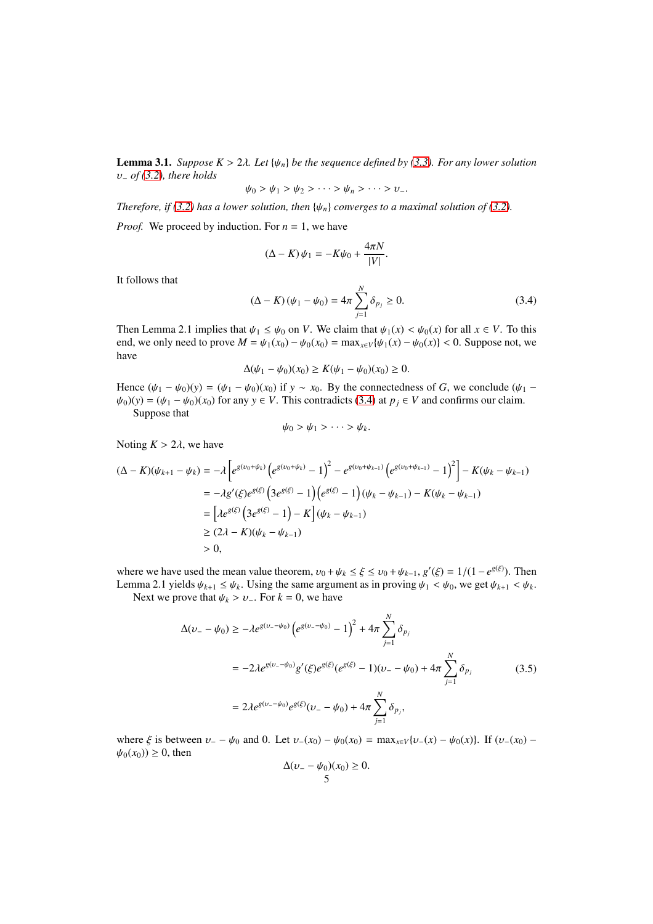**Lemma 3.1.** *Suppose K* > 2 $\lambda$ *. Let* { $\psi_n$ } *be the sequence defined by* [\(3.3\)](#page-3-1)*. For any lower solution* υ<sup>−</sup> *of [\(3.2\)](#page-3-0), there holds*

$$
\psi_0 > \psi_1 > \psi_2 > \cdots > \psi_n > \cdots > \nu_-.
$$

*Therefore, if* [\(3.2\)](#page-3-0) *has a lower solution, then* { $\psi_n$ } *converges to a maximal solution of* (3.2)*.* 

*Proof.* We proceed by induction. For  $n = 1$ , we have

$$
(\Delta - K)\psi_1 = -K\psi_0 + \frac{4\pi N}{|V|}.
$$

It follows that

<span id="page-4-0"></span>
$$
(\Delta - K)(\psi_1 - \psi_0) = 4\pi \sum_{j=1}^{N} \delta_{p_j} \ge 0.
$$
 (3.4)

Then Lemma 2.1 implies that  $\psi_1 \leq \psi_0$  on *V*. We claim that  $\psi_1(x) < \psi_0(x)$  for all  $x \in V$ . To this end, we only need to prove  $M = \psi_1(x_0) - \psi_0(x_0) = \max_{x \in V} {\psi_1(x) - \psi_0(x)} < 0$ . Suppose not, we have

$$
\Delta(\psi_1 - \psi_0)(x_0) \ge K(\psi_1 - \psi_0)(x_0) \ge 0.
$$

Hence  $(\psi_1 - \psi_0)(y) = (\psi_1 - \psi_0)(x_0)$  if  $y \sim x_0$ . By the connectedness of *G*, we conclude  $(\psi_1 - \psi_0)(y) = (\psi_1 - \psi_0)(x_0)$  $\psi_0(y) = (\psi_1 - \psi_0)(x_0)$  for any  $y \in V$ . This contradicts [\(3.4\)](#page-4-0) at  $p_j \in V$  and confirms our claim.

Suppose that

$$
\psi_0 > \psi_1 > \cdots > \psi_k.
$$

Noting  $K > 2\lambda$ , we have

$$
(\Delta - K)(\psi_{k+1} - \psi_k) = -\lambda \left[ e^{g(\nu_0 + \psi_k)} \left( e^{g(\nu_0 + \psi_k)} - 1 \right)^2 - e^{g(\nu_0 + \psi_{k-1})} \left( e^{g(\nu_0 + \psi_{k-1})} - 1 \right)^2 \right] - K(\psi_k - \psi_{k-1})
$$
  
\n
$$
= -\lambda g'(\xi) e^{g(\xi)} \left( 3 e^{g(\xi)} - 1 \right) \left( e^{g(\xi)} - 1 \right) (\psi_k - \psi_{k-1}) - K(\psi_k - \psi_{k-1})
$$
  
\n
$$
= \left[ \lambda e^{g(\xi)} \left( 3 e^{g(\xi)} - 1 \right) - K \right] (\psi_k - \psi_{k-1})
$$
  
\n
$$
\geq (2\lambda - K)(\psi_k - \psi_{k-1})
$$
  
\n
$$
> 0,
$$

where we have used the mean value theorem,  $v_0 + \psi_k \leq \xi \leq v_0 + \psi_{k-1}$ ,  $g'(\xi) = 1/(1 - e^{g(\xi)})$ . Then Lemma 2.1 yields  $\psi_{k+1} \leq \psi_k$ . Using the same argument as in proving  $\psi_1 < \psi_0$ , we get  $\psi_{k+1} < \psi_k$ .

Next we prove that  $\psi_k > \nu_-\$ . For  $k = 0$ , we have

<span id="page-4-1"></span>
$$
\Delta(\nu_{-} - \psi_{0}) \ge -\lambda e^{g(\nu_{-} - \psi_{0})} \left( e^{g(\nu_{-} - \psi_{0})} - 1 \right)^{2} + 4\pi \sum_{j=1}^{N} \delta_{p_{j}}
$$
  
=  $-2\lambda e^{g(\nu_{-} - \psi_{0})} g'(\xi) e^{g(\xi)} (e^{g(\xi)} - 1)(\nu_{-} - \psi_{0}) + 4\pi \sum_{j=1}^{N} \delta_{p_{j}}$  (3.5)  
=  $2\lambda e^{g(\nu_{-} - \psi_{0})} e^{g(\xi)} (\nu_{-} - \psi_{0}) + 4\pi \sum_{j=1}^{N} \delta_{p_{j}},$ 

where  $\xi$  is between  $v_ - - \psi_0$  and 0. Let  $v_-(x_0) - \psi_0(x_0) = \max_{x \in V} \{v_-(x) - \psi_0(x)\}\$ . If  $(v_-(x_0) - \psi_0(x))$  $\psi_0(x_0) \geq 0$ , then

$$
\Delta(\nu_- - \psi_0)(x_0) \ge 0.
$$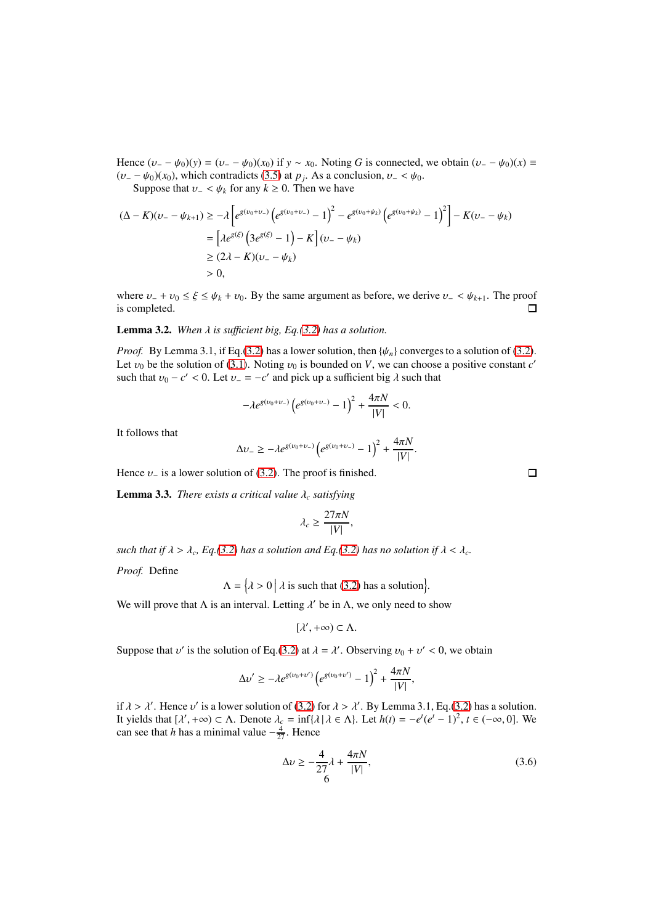Hence  $(\nu_+ - \psi_0)(y) = (\nu_- - \psi_0)(x_0)$  if  $y \sim x_0$ . Noting *G* is connected, we obtain  $(\nu_- - \psi_0)(x) \equiv$  $(\nu_- - \psi_0)(x_0)$ , which contradicts [\(3.5\)](#page-4-1) at *p<sub>j</sub>*. As a conclusion,  $\nu_- < \psi_0$ .

Suppose that  $v - \langle \psi_k \rangle$  for any  $k \geq 0$ . Then we have

$$
(\Delta - K)(\nu_{-} - \psi_{k+1}) \ge -\lambda \left[ e^{g(\nu_{0} + \nu_{-})} \left( e^{g(\nu_{0} + \nu_{-})} - 1 \right)^{2} - e^{g(\nu_{0} + \psi_{k})} \left( e^{g(\nu_{0} + \psi_{k})} - 1 \right)^{2} \right] - K(\nu_{-} - \psi_{k})
$$
  
=  $\left[ \lambda e^{g(\xi)} \left( 3 e^{g(\xi)} - 1 \right) - K \right] (\nu_{-} - \psi_{k})$   
 $\ge (2\lambda - K)(\nu_{-} - \psi_{k})$   
 $> 0,$ 

where  $v_+ + v_0 \le \xi \le \psi_k + v_0$ . By the same argument as before, we derive  $v_- \le \psi_{k+1}$ . The proof is completed.  $\Box$ 

## **Lemma 3.2.** When  $\lambda$  is sufficient big, Eq.[\(3.2\)](#page-3-0) has a solution.

*Proof.* By Lemma 3.1, if Eq.[\(3.2\)](#page-3-0) has a lower solution, then  $\{\psi_n\}$  converges to a solution of (3.2). Let  $v_0$  be the solution of [\(3.1\)](#page-3-2). Noting  $v_0$  is bounded on *V*, we can choose a positive constant *c'* such that  $v_0 - c' < 0$ . Let  $v_- = -c'$  and pick up a sufficient big  $\lambda$  such that

$$
-\lambda e^{g(v_0+v_-)}\left(e^{g(v_0+v_-)}-1\right)^2+\frac{4\pi N}{|V|}<0.
$$

It follows that

$$
\Delta v_- \ge -\lambda e^{g(v_0 + v_-)} \left( e^{g(v_0 + v_-)} - 1 \right)^2 + \frac{4\pi N}{|V|}.
$$

Hence  $\nu$ <sub>−</sub> is a lower solution of [\(3.2\)](#page-3-0). The proof is finished.

**Lemma 3.3.** *There exists a critical value*  $\lambda_c$  *satisfying* 

$$
\lambda_c \ge \frac{27\pi N}{|V|},
$$

*such that if*  $\lambda > \lambda_c$ , *Eq.*[\(3.2\)](#page-3-0) *has a solution and Eq.*(3.2) *has no solution if*  $\lambda < \lambda_c$ .

*Proof.* Define

$$
\Lambda = \left\{ \lambda > 0 \, \middle| \, \lambda \text{ is such that } (3.2) \text{ has a solution} \right\}
$$

We will prove that  $\Lambda$  is an interval. Letting  $\lambda'$  be in  $\Lambda$ , we only need to show

$$
[\lambda',+\infty)\subset\Lambda.
$$

Suppose that  $v'$  is the solution of Eq.[\(3.2\)](#page-3-0) at  $\lambda = \lambda'$ . Observing  $v_0 + v' < 0$ , we obtain

$$
\Delta v' \ge -\lambda e^{g(v_0 + v')} \left( e^{g(v_0 + v')} - 1 \right)^2 + \frac{4\pi N}{|V|},
$$

if  $\lambda > \lambda'$ . Hence  $\nu'$  is a lower solution of [\(3.2\)](#page-3-0) for  $\lambda > \lambda'$ . By Lemma 3.1, Eq.[\(3.2\)](#page-3-0) has a solution. It yields that  $[\lambda', +\infty) \subset \Lambda$ . Denote  $\lambda_c = \inf{\lambda \mid \lambda \in \Lambda}$ . Let  $h(t) = -e^t(e^t - 1)^2$ ,  $t \in (-\infty, 0]$ . We can see that *h* has a minimal value  $-\frac{4}{27}$ . Hence

<span id="page-5-0"></span>
$$
\Delta v \ge -\frac{4}{27}\lambda + \frac{4\pi N}{|V|},
$$
\n(3.6)

.

 $\Box$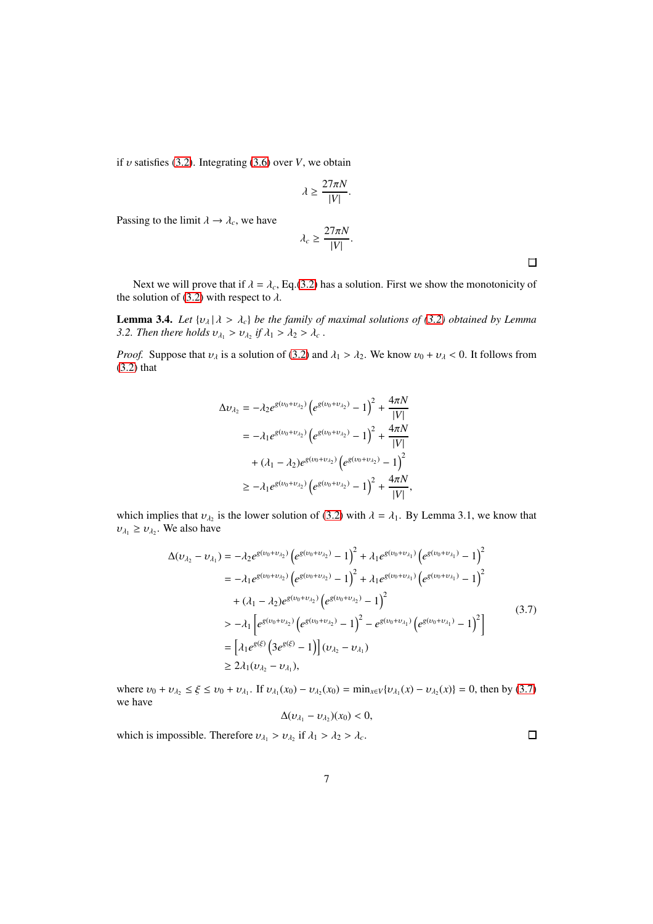if  $v$  satisfies [\(3.2\)](#page-3-0). Integrating [\(3.6\)](#page-5-0) over  $V$ , we obtain

$$
\lambda \ge \frac{27\pi N}{|V|}.
$$

Passing to the limit  $\lambda \rightarrow \lambda_c$ , we have

$$
\lambda_c \ge \frac{27\pi N}{|V|}.
$$

 $\Box$ 

Next we will prove that if  $\lambda = \lambda_c$ , Eq.[\(3.2\)](#page-3-0) has a solution. First we show the monotonicity of the solution of [\(3.2\)](#page-3-0) with respect to  $\lambda$ .

**Lemma 3.4.** *Let*  $\{v_\lambda | \lambda > \lambda_c\}$  *be the family of maximal solutions of* [\(3.2\)](#page-3-0) *obtained by Lemma 3.2. Then there holds*  $v_{\lambda_1} > v_{\lambda_2}$  if  $\lambda_1 > \lambda_2 > \lambda_c$ .

*Proof.* Suppose that  $v_{\lambda}$  is a solution of [\(3.2\)](#page-3-0) and  $\lambda_1 > \lambda_2$ . We know  $v_0 + v_{\lambda} < 0$ . It follows from [\(3.2\)](#page-3-0) that

$$
\Delta v_{\lambda_2} = -\lambda_2 e^{g(v_0 + v_{\lambda_2})} \left( e^{g(v_0 + v_{\lambda_2})} - 1 \right)^2 + \frac{4\pi N}{|V|}
$$
  
=  $-\lambda_1 e^{g(v_0 + v_{\lambda_2})} \left( e^{g(v_0 + v_{\lambda_2})} - 1 \right)^2 + \frac{4\pi N}{|V|}$   
+  $(\lambda_1 - \lambda_2) e^{g(v_0 + v_{\lambda_2})} \left( e^{g(v_0 + v_{\lambda_2})} - 1 \right)^2$   
 $\ge -\lambda_1 e^{g(v_0 + v_{\lambda_2})} \left( e^{g(v_0 + v_{\lambda_2})} - 1 \right)^2 + \frac{4\pi N}{|V|},$ 

which implies that  $v_{\lambda_2}$  is the lower solution of [\(3.2\)](#page-3-0) with  $\lambda = \lambda_1$ . By Lemma 3.1, we know that  $v_{\lambda_1} \ge v_{\lambda_2}$ . We also have

$$
\Delta(\nu_{\lambda_2} - \nu_{\lambda_1}) = -\lambda_2 e^{g(\nu_0 + \nu_{\lambda_2})} \left( e^{g(\nu_0 + \nu_{\lambda_2})} - 1 \right)^2 + \lambda_1 e^{g(\nu_0 + \nu_{\lambda_1})} \left( e^{g(\nu_0 + \nu_{\lambda_1})} - 1 \right)^2
$$
  
\n
$$
= -\lambda_1 e^{g(\nu_0 + \nu_{\lambda_2})} \left( e^{g(\nu_0 + \nu_{\lambda_2})} - 1 \right)^2 + \lambda_1 e^{g(\nu_0 + \nu_{\lambda_1})} \left( e^{g(\nu_0 + \nu_{\lambda_1})} - 1 \right)^2
$$
  
\n
$$
+ (\lambda_1 - \lambda_2) e^{g(\nu_0 + \nu_{\lambda_2})} \left( e^{g(\nu_0 + \nu_{\lambda_2})} - 1 \right)^2
$$
  
\n
$$
> -\lambda_1 \left[ e^{g(\nu_0 + \nu_{\lambda_2})} \left( e^{g(\nu_0 + \nu_{\lambda_2})} - 1 \right)^2 - e^{g(\nu_0 + \nu_{\lambda_1})} \left( e^{g(\nu_0 + \nu_{\lambda_1})} - 1 \right)^2 \right]
$$
  
\n
$$
= \left[ \lambda_1 e^{g(\xi)} \left( 3 e^{g(\xi)} - 1 \right) \right] (\nu_{\lambda_2} - \nu_{\lambda_1})
$$
  
\n
$$
\geq 2\lambda_1 (\nu_{\lambda_2} - \nu_{\lambda_1}),
$$
  
\n(3.7)

<span id="page-6-0"></span>where  $v_0 + v_{\lambda_2} \le \xi \le v_0 + v_{\lambda_1}$ . If  $v_{\lambda_1}(x_0) - v_{\lambda_2}(x_0) = \min_{x \in V} \{v_{\lambda_1}(x) - v_{\lambda_2}(x)\} = 0$ , then by [\(3.7\)](#page-6-0) we have

$$
\Delta(\nu_{\lambda_1}-\nu_{\lambda_2})(x_0)<0,
$$

which is impossible. Therefore  $v_{\lambda_1} > v_{\lambda_2}$  if  $\lambda_1 > \lambda_2 > \lambda_c$ .  $\Box$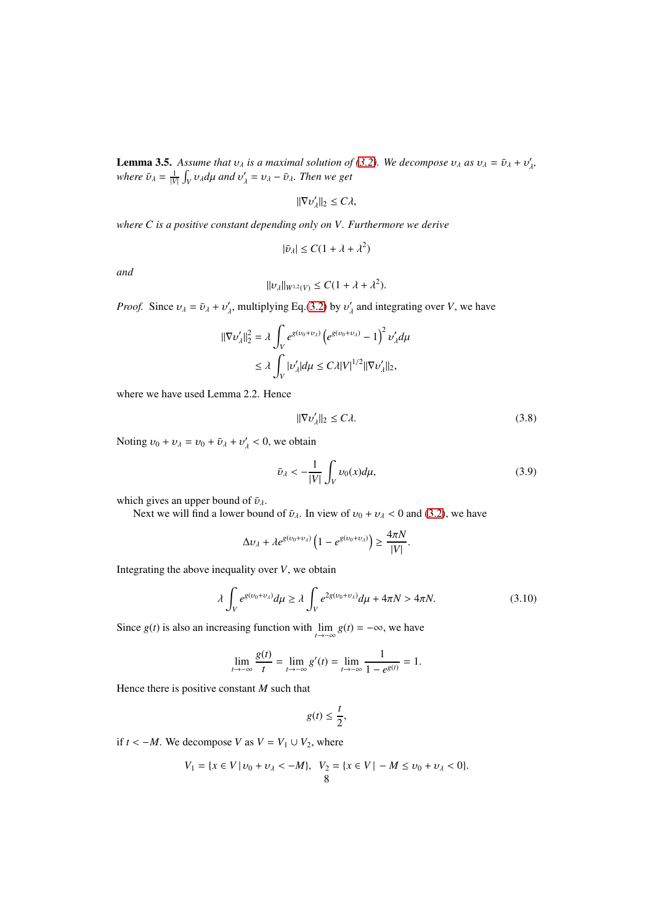**Lemma 3.5.** Assume that  $v_{\lambda}$  is a maximal solution of [\(3.2\)](#page-3-0). We decompose  $v_{\lambda}$  as  $v_{\lambda} = \bar{v}_{\lambda} + v'_{\lambda}$ , *where*  $\bar{v}_{\lambda} = \frac{1}{|V|} \int_{V} v_{\lambda} d\mu$  *and*  $v'_{\lambda} = v_{\lambda} - \bar{v}_{\lambda}$ *. Then we get* 

$$
\|\nabla v_{\lambda}'\|_2 \le C\lambda,
$$

*where C is a positive constant depending only on V. Furthermore we derive*

$$
|\bar{v}_{\lambda}| \leq C(1 + \lambda + \lambda^2)
$$

*and*

$$
||v_{\lambda}||_{W^{1,2}(V)} \leq C(1 + \lambda + \lambda^2).
$$

*Proof.* Since  $v_{\lambda} = \bar{v}_{\lambda} + v'_{\lambda}$ , multiplying Eq.[\(3.2\)](#page-3-0) by  $v'_{\lambda}$  and integrating over *V*, we have

$$
\begin{aligned} \|\nabla v'_{\lambda}\|_2^2 &= \lambda \int_V e^{g(v_0 + v_{\lambda})} \left( e^{g(v_0 + v_{\lambda})} - 1 \right)^2 v'_{\lambda} d\mu \\ &\le \lambda \int_V |v'_{\lambda}| d\mu \le C\lambda |V|^{1/2} \|\nabla v'_{\lambda}\|_2, \end{aligned}
$$

where we have used Lemma 2.2. Hence

<span id="page-7-1"></span>
$$
\|\nabla \nu_{\lambda}'\|_2 \le C\lambda. \tag{3.8}
$$

Noting  $v_0 + v_\lambda = v_0 + \bar{v}_\lambda + v'_\lambda < 0$ , we obtain

<span id="page-7-2"></span>
$$
\bar{v}_\lambda < -\frac{1}{|V|} \int_V v_0(x) d\mu,\tag{3.9}
$$

which gives an upper bound of  $\bar{v}_{\lambda}$ .

Next we will find a lower bound of  $\bar{v}_{\lambda}$ . In view of  $v_0 + v_{\lambda} < 0$  and [\(3.2\)](#page-3-0), we have

$$
\Delta v_{\lambda} + \lambda e^{g(v_0 + v_{\lambda})} \left( 1 - e^{g(v_0 + v_{\lambda})} \right) \ge \frac{4\pi N}{|V|}.
$$

Integrating the above inequality over *V*, we obtain

<span id="page-7-0"></span>
$$
\lambda \int_{V} e^{g(\nu_0 + \nu_\lambda)} d\mu \ge \lambda \int_{V} e^{2g(\nu_0 + \nu_\lambda)} d\mu + 4\pi N > 4\pi N. \tag{3.10}
$$

Since *g*(*t*) is also an increasing function with  $\lim_{t \to -\infty} g(t) = -\infty$ , we have

$$
\lim_{t \to -\infty} \frac{g(t)}{t} = \lim_{t \to -\infty} g'(t) = \lim_{t \to -\infty} \frac{1}{1 - e^{g(t)}} = 1.
$$

Hence there is positive constant *M* such that

$$
g(t) \leq \frac{t}{2},
$$

if *t* < −*M*. We decompose *V* as  $V = V_1 ∪ V_2$ , where

$$
V_1 = \{x \in V \mid v_0 + v_\lambda < -M\}, \quad V_2 = \{x \in V \mid -M \le v_0 + v_\lambda < 0\}.
$$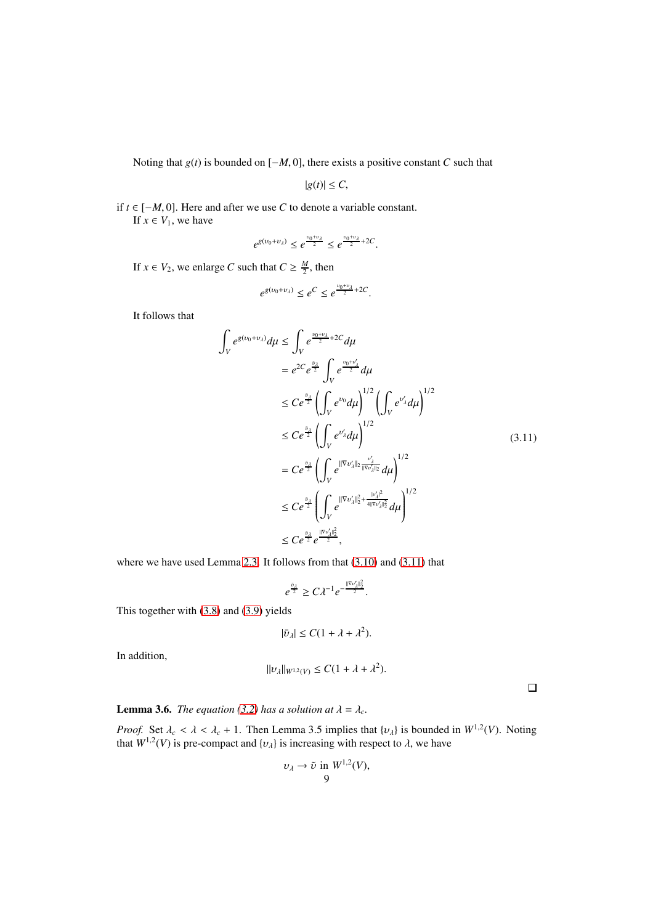Noting that *g*(*t*) is bounded on [−*M*, 0], there exists a positive constant *C* such that

$$
|g(t)| \leq C,
$$

if *t* ∈ [−*M*, 0]. Here and after we use *C* to denote a variable constant. If  $x \in V_1$ , we have

$$
e^{g(v_0+v_\lambda)} \leq e^{\frac{v_0+v_\lambda}{2}} \leq e^{\frac{v_0+v_\lambda}{2}+2C}.
$$

If  $x \in V_2$ , we enlarge *C* such that  $C \geq \frac{M}{2}$ , then

$$
e^{g(v_0+v_\lambda)} \le e^C \le e^{\frac{v_0+v_\lambda}{2}+2C}.
$$

It follows that

$$
\int_{V} e^{g(v_0 + v_{\lambda})} d\mu \leq \int_{V} e^{\frac{v_0 + v_{\lambda}}{2} + 2C} d\mu
$$
\n
$$
= e^{2C} e^{\frac{v_{\lambda}}{2}} \int_{V} e^{\frac{v_0 + v_{\lambda}'}{2}} d\mu
$$
\n
$$
\leq C e^{\frac{v_{\lambda}}{2}} \left( \int_{V} e^{v_0} d\mu \right)^{1/2} \left( \int_{V} e^{v_{\lambda}'} d\mu \right)^{1/2}
$$
\n
$$
\leq C e^{\frac{v_{\lambda}}{2}} \left( \int_{V} e^{v_{\lambda}'} d\mu \right)^{1/2}
$$
\n
$$
= C e^{\frac{v_{\lambda}}{2}} \left( \int_{V} e^{\|\nabla v_{\lambda}'\|_2} \frac{v_{\lambda}'}{\|\nabla v_{\lambda}'\|_2} d\mu \right)^{1/2}
$$
\n
$$
\leq C e^{\frac{v_{\lambda}}{2}} \left( \int_{V} e^{\|\nabla v_{\lambda}'\|_2^2 + \frac{|v_{\lambda}'|^2}{4\|\nabla v_{\lambda}'\|_2^2}} d\mu \right)^{1/2}
$$
\n
$$
\leq C e^{\frac{v_{\lambda}}{2}} e^{\frac{\|\nabla v_{\lambda}'\|_2^2}{2}},
$$
\n(3.11)

<span id="page-8-0"></span>where we have used Lemma [2](#page-3-3).3. It follows from that  $(3.10)$  and  $(3.11)$  that

$$
e^{\frac{\bar{v}_\lambda}{2}} \geq C\lambda^{-1} e^{-\frac{\|\nabla v'_\lambda\|_2^2}{2}}.
$$

This together with [\(3.8\)](#page-7-1) and [\(3.9\)](#page-7-2) yields

$$
|\bar{v}_{\lambda}| \leq C(1 + \lambda + \lambda^2).
$$

In addition,

$$
||v_\lambda||_{W^{1,2}(V)} \leq C(1+\lambda+\lambda^2).
$$

 $\Box$ 

**Lemma 3.6.** *The equation [\(3.2\)](#page-3-0) has a solution at*  $\lambda = \lambda_c$ *.* 

*Proof.* Set  $\lambda_c < \lambda < \lambda_c + 1$ . Then Lemma 3.5 implies that  $\{v_\lambda\}$  is bounded in  $W^{1,2}(V)$ . Noting that  $W^{1,2}(V)$  is pre-compact and  $\{v_\lambda\}$  is increasing with respect to  $\lambda$ , we have

$$
\nu_{\lambda} \to \tilde{\nu} \text{ in } W^{1,2}(V),
$$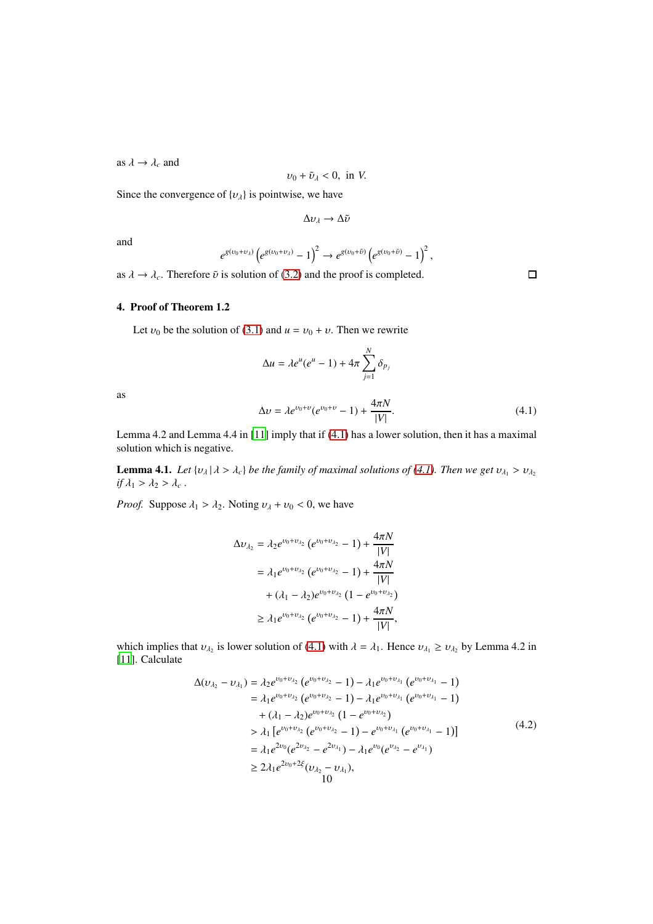as  $\lambda \rightarrow \lambda_c$  and

$$
v_0 + \tilde{v}_\lambda < 0, \text{ in } V.
$$

Since the convergence of  $\{v_\lambda\}$  is pointwise, we have

$$
\Delta v_\lambda \to \Delta \tilde{v}
$$

and

$$
e^{g(v_0+v_\lambda)}\left(e^{g(v_0+v_\lambda)}-1\right)^2\to e^{g(v_0+\tilde v)}\left(e^{g(v_0+\tilde v)}-1\right)^2,
$$

as  $\lambda \to \lambda_c$ . Therefore  $\tilde{\nu}$  is solution of [\(3.2\)](#page-3-0) and the proof is completed.

# 4. Proof of Theorem 1.2

Let  $v_0$  be the solution of [\(3.1\)](#page-3-2) and  $u = v_0 + v$ . Then we rewrite

$$
\Delta u = \lambda e^u (e^u - 1) + 4\pi \sum_{j=1}^N \delta_{p_j}
$$

as

<span id="page-9-0"></span>
$$
\Delta v = \lambda e^{\nu_0 + \nu} (e^{\nu_0 + \nu} - 1) + \frac{4\pi N}{|V|}.
$$
\n(4.1)

Lemma 4.2 and Lemma 4.4 in [\[11\]](#page-12-22) imply that if [\(4.1\)](#page-9-0) has a lower solution, then it has a maximal solution which is negative.

**Lemma 4.1.** *Let*  $\{v_\lambda | \lambda > \lambda_c\}$  *be the family of maximal solutions of* [\(4.1\)](#page-9-0)*. Then we get*  $v_{\lambda_1} > v_{\lambda_2}$ *if*  $\lambda_1 > \lambda_2 > \lambda_c$ .

*Proof.* Suppose  $\lambda_1 > \lambda_2$ . Noting  $v_\lambda + v_0 < 0$ , we have

$$
\Delta v_{\lambda_2} = \lambda_2 e^{v_0 + v_{\lambda_2}} (e^{v_0 + v_{\lambda_2}} - 1) + \frac{4\pi N}{|V|}
$$
  
=  $\lambda_1 e^{v_0 + v_{\lambda_2}} (e^{v_0 + v_{\lambda_2}} - 1) + \frac{4\pi N}{|V|}$   
+  $(\lambda_1 - \lambda_2) e^{v_0 + v_{\lambda_2}} (1 - e^{v_0 + v_{\lambda_2}})$   
 $\geq \lambda_1 e^{v_0 + v_{\lambda_2}} (e^{v_0 + v_{\lambda_2}} - 1) + \frac{4\pi N}{|V|},$ 

which implies that  $v_{\lambda_2}$  is lower solution of [\(4.1\)](#page-9-0) with  $\lambda = \lambda_1$ . Hence  $v_{\lambda_1} \ge v_{\lambda_2}$  by Lemma 4.2 in [\[11\]](#page-12-22). Calculate

$$
\Delta(\nu_{\lambda_2} - \nu_{\lambda_1}) = \lambda_2 e^{\nu_0 + \nu_{\lambda_2}} (e^{\nu_0 + \nu_{\lambda_2}} - 1) - \lambda_1 e^{\nu_0 + \nu_{\lambda_1}} (e^{\nu_0 + \nu_{\lambda_1}} - 1) \n= \lambda_1 e^{\nu_0 + \nu_{\lambda_2}} (e^{\nu_0 + \nu_{\lambda_2}} - 1) - \lambda_1 e^{\nu_0 + \nu_{\lambda_1}} (e^{\nu_0 + \nu_{\lambda_1}} - 1) \n+ (\lambda_1 - \lambda_2) e^{\nu_0 + \nu_{\lambda_2}} (1 - e^{\nu_0 + \nu_{\lambda_2}}) \n> \lambda_1 [e^{\nu_0 + \nu_{\lambda_2}} (e^{\nu_0 + \nu_{\lambda_2}} - 1) - e^{\nu_0 + \nu_{\lambda_1}} (e^{\nu_0 + \nu_{\lambda_1}} - 1)] \n= \lambda_1 e^{2\nu_0} (e^{2\nu_{\lambda_2}} - e^{2\nu_{\lambda_1}}) - \lambda_1 e^{\nu_0} (e^{\nu_{\lambda_2}} - e^{\nu_{\lambda_1}}) \n\ge 2\lambda_1 e^{2\nu_0 + 2\xi} (\nu_{\lambda_2} - \nu_{\lambda_1}),
$$
\n(10)

 $\Box$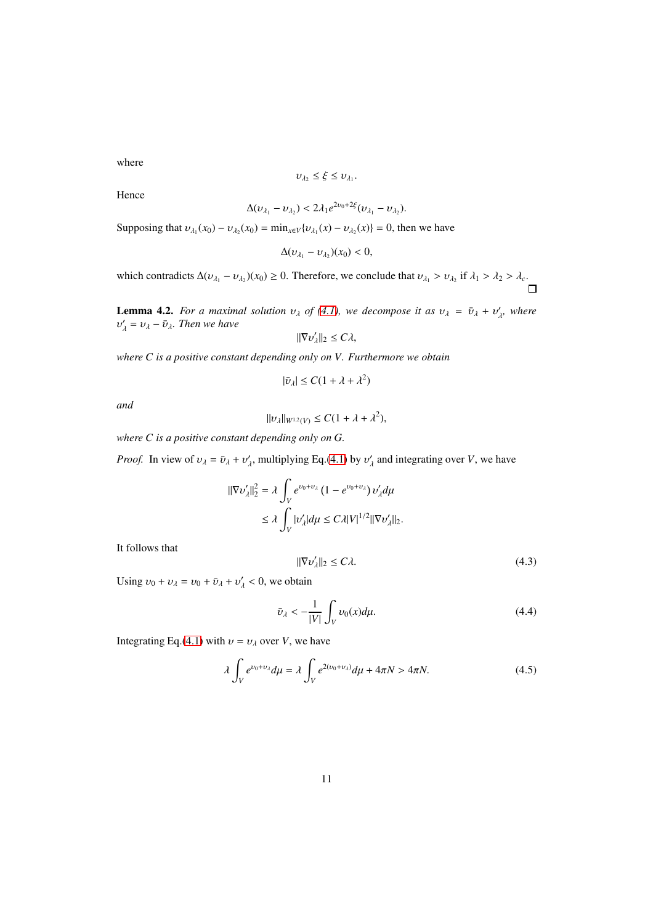where

$$
v_{\lambda_2} \leq \xi \leq v_{\lambda_1}.
$$

Hence

$$
\Delta(v_{\lambda_1}-v_{\lambda_2})<2\lambda_1e^{2v_0+2\xi}(v_{\lambda_1}-v_{\lambda_2}).
$$

Supposing that  $v_{\lambda_1}(x_0) - v_{\lambda_2}(x_0) = \min_{x \in V} \{v_{\lambda_1}(x) - v_{\lambda_2}(x)\} = 0$ , then we have

$$
\Delta(\nu_{\lambda_1}-\nu_{\lambda_2})(x_0)<0,
$$

which contradicts  $\Delta (v_{\lambda_1} - v_{\lambda_2})(x_0) \ge 0$ . Therefore, we conclude that  $v_{\lambda_1} > v_{\lambda_2}$  if  $\lambda_1 > \lambda_2 > \lambda_c$ .

**Lemma 4.2.** *For a maximal solution*  $v_{\lambda}$  *of* [\(4.1\)](#page-9-0)*, we decompose it as*  $v_{\lambda} = \bar{v}_{\lambda} + v'_{\lambda}$ *, where*  $v'_{\lambda} = v_{\lambda} - \bar{v}_{\lambda}$ . Then we have

$$
\|\nabla v_\lambda'\|_2 \leq C\lambda,
$$

*where C is a positive constant depending only on V. Furthermore we obtain*

$$
|\bar{\nu}_{\lambda}| \leq C(1 + \lambda + \lambda^2)
$$

*and*

$$
||v_\lambda||_{W^{1,2}(V)} \leq C(1+\lambda+\lambda^2),
$$

*where C is a positive constant depending only on G.*

*Proof.* In view of  $v_{\lambda} = \bar{v}_{\lambda} + v'_{\lambda}$ , multiplying Eq.[\(4.1\)](#page-9-0) by  $v'_{\lambda}$  and integrating over *V*, we have

$$
\begin{aligned} \|\nabla v'_{\lambda}\|_{2}^{2} &= \lambda \int_{V} e^{v_{0} + v_{\lambda}} \left(1 - e^{v_{0} + v_{\lambda}}\right) v'_{\lambda} d\mu \\ &\le \lambda \int_{V} |v'_{\lambda}| d\mu \le C\lambda |V|^{1/2} \|\nabla v'_{\lambda}\|_{2} .\end{aligned}
$$

It follows that

<span id="page-10-1"></span>
$$
\|\nabla \nu_{\lambda}'\|_2 \le C\lambda. \tag{4.3}
$$

Using  $v_0 + v_\lambda = v_0 + \bar{v}_\lambda + v'_\lambda < 0$ , we obtain

<span id="page-10-2"></span>
$$
\bar{v}_{\lambda} < -\frac{1}{|V|} \int_{V} v_0(x) d\mu. \tag{4.4}
$$

Integrating Eq.[\(4.1\)](#page-9-0) with  $v = v_\lambda$  over *V*, we have

<span id="page-10-0"></span>
$$
\lambda \int_{V} e^{\nu_0 + \nu_\lambda} d\mu = \lambda \int_{V} e^{2(\nu_0 + \nu_\lambda)} d\mu + 4\pi N > 4\pi N. \tag{4.5}
$$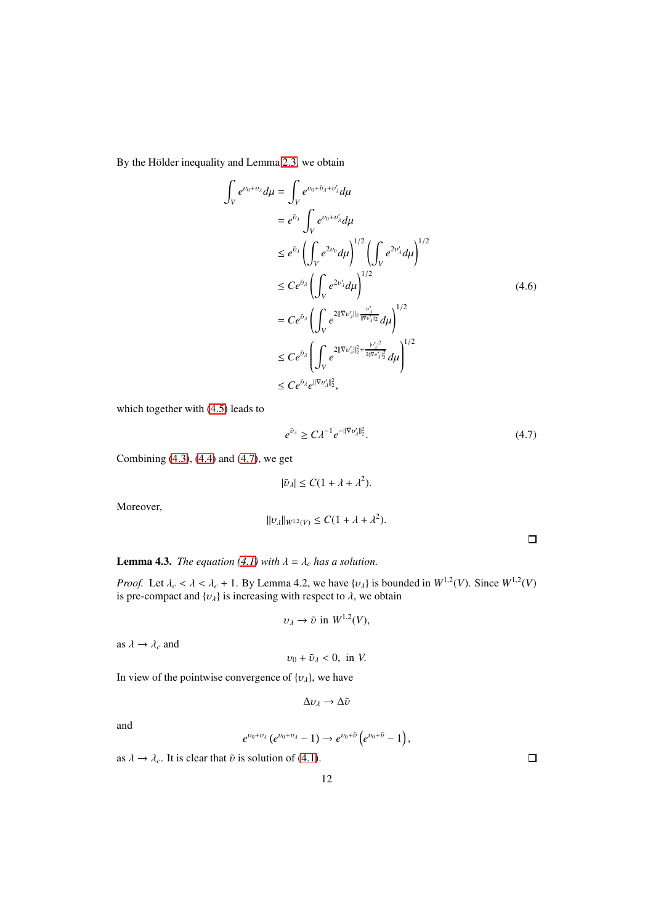By the Hölder inequality and Lemma [2](#page-3-3).3, we obtain

$$
\int_{V} e^{\nu_{0} + \nu_{\lambda}} d\mu = \int_{V} e^{\nu_{0} + \bar{\nu}_{\lambda} + \nu'_{\lambda}} d\mu
$$
\n
$$
= e^{\bar{\nu}_{\lambda}} \int_{V} e^{\nu_{0} + \nu'_{\lambda}} d\mu
$$
\n
$$
\leq e^{\bar{\nu}_{\lambda}} \left( \int_{V} e^{2\nu_{0}} d\mu \right)^{1/2} \left( \int_{V} e^{2\nu'_{\lambda}} d\mu \right)^{1/2}
$$
\n
$$
\leq C e^{\bar{\nu}_{\lambda}} \left( \int_{V} e^{2\nu'_{\lambda}} d\mu \right)^{1/2}
$$
\n
$$
= C e^{\bar{\nu}_{\lambda}} \left( \int_{V} e^{2\|\nabla \nu'_{\lambda}\|_{2} \frac{\nu'_{\lambda}}{\|\nabla \nu'_{\lambda}\|_{2}} d\mu \right)^{1/2}
$$
\n
$$
\leq C e^{\bar{\nu}_{\lambda}} \left( \int_{V} e^{2\|\nabla \nu'_{\lambda}\|_{2}^{2} + \frac{\nu'_{\lambda} + 2}{2\|\nabla \nu'_{\lambda}\|_{2}^{2}} d\mu \right)^{1/2}
$$
\n
$$
\leq C e^{\bar{\nu}_{\lambda}} e^{\|\nabla \nu'_{\lambda}\|_{2}^{2}},
$$
\n(4.6)

which together with [\(4.5\)](#page-10-0) leads to

<span id="page-11-0"></span>
$$
e^{\bar{\upsilon}_\lambda} \ge C\lambda^{-1} e^{-\|\nabla \upsilon_\lambda'\|_2^2}.\tag{4.7}
$$

Combining [\(4.3\)](#page-10-1), [\(4.4\)](#page-10-2) and [\(4.7\)](#page-11-0), we get

$$
|\bar{v}_{\lambda}| \leq C(1 + \lambda + \lambda^2).
$$

Moreover,

$$
||v_{\lambda}||_{W^{1,2}(V)} \leq C(1 + \lambda + \lambda^2).
$$

 $\Box$ 

**Lemma 4.3.** *The equation* [\(4.1\)](#page-9-0) *with*  $\lambda = \lambda_c$  *has a solution.* 

*Proof.* Let  $\lambda_c < \lambda < \lambda_c + 1$ . By Lemma 4.2, we have  $\{v_\lambda\}$  is bounded in  $W^{1,2}(V)$ . Since  $W^{1,2}(V)$ is pre-compact and  $\{v_\lambda\}$  is increasing with respect to  $\lambda$ , we obtain

$$
v_{\lambda} \to \tilde{v} \text{ in } W^{1,2}(V),
$$

as  $\lambda \rightarrow \lambda_c$  and

$$
v_0 + \tilde{v}_\lambda < 0, \text{ in } V.
$$

In view of the pointwise convergence of  $\{v_\lambda\}$ , we have

$$
\Delta \nu_\lambda \to \Delta \tilde{\nu}
$$

and

$$
e^{\nu_0+\nu_\lambda}(e^{\nu_0+\nu_\lambda}-1)\to e^{\nu_0+\tilde\nu}\left(e^{\nu_0+\tilde\nu}-1\right),
$$

as  $\lambda \rightarrow \lambda_c$ . It is clear that  $\tilde{\nu}$  is solution of [\(4.1\)](#page-9-0).

 $\Box$